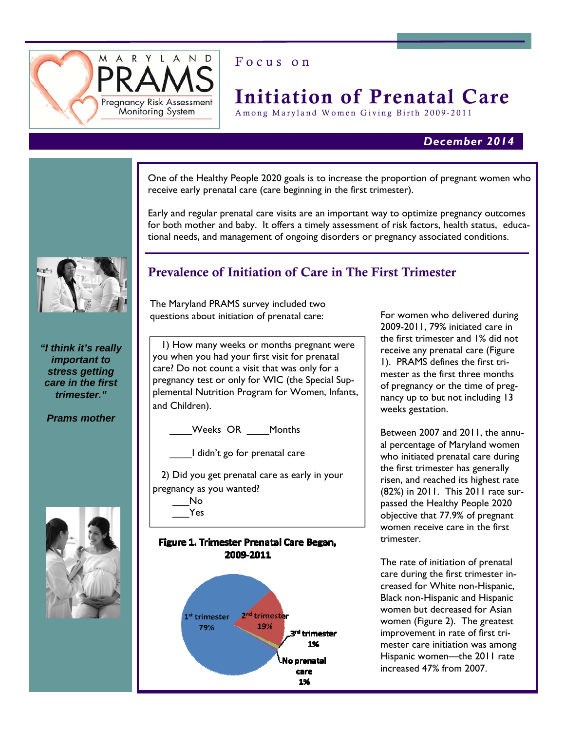

# Focus on

# Initiation of Prenatal Care

Among Maryland Women Giving Birth 2009-2011

# *December 2014*

One of the Healthy People 2020 goals is to increase the proportion of pregnant women who receive early prenatal care (care beginning in the first trimester).

Early and regular prenatal care visits are an important way to optimize pregnancy outcomes for both mother and baby. It offers a timely assessment of risk factors, health status, educational needs, and management of ongoing disorders or pregnancy associated conditions.



#### *"I think it's really important to stress getting care in the first trimester."*

*Prams mother* 



# Prevalence of Initiation of Care in The First Trimester

 The Maryland PRAMS survey included two questions about initiation of prenatal care:

 1) How many weeks or months pregnant were you when you had your first visit for prenatal care? Do not count a visit that was only for a pregnancy test or only for WIC (the Special Supplemental Nutrition Program for Women, Infants, and Children).

Weeks OR Months

\_\_\_\_I didn't go for prenatal care

 2) Did you get prenatal care as early in your pregnancy as you wanted?



Figure 1. Trimester Prenatal Care Began, 2009-2011



For women who delivered during 2009-2011, 79% initiated care in the first trimester and 1% did not receive any prenatal care (Figure 1). PRAMS defines the first trimester as the first three months of pregnancy or the time of pregnancy up to but not including 13 weeks gestation.

Between 2007 and 2011, the annual percentage of Maryland women who initiated prenatal care during the first trimester has generally risen, and reached its highest rate (82%) in 2011. This 2011 rate surpassed the Healthy People 2020 objective that 77.9% of pregnant women receive care in the first trimester.

The rate of initiation of prenatal care during the first trimester increased for White non-Hispanic, Black non-Hispanic and Hispanic women but decreased for Asian women (Figure 2). The greatest improvement in rate of first trimester care initiation was among Hispanic women—the 2011 rate increased 47% from 2007.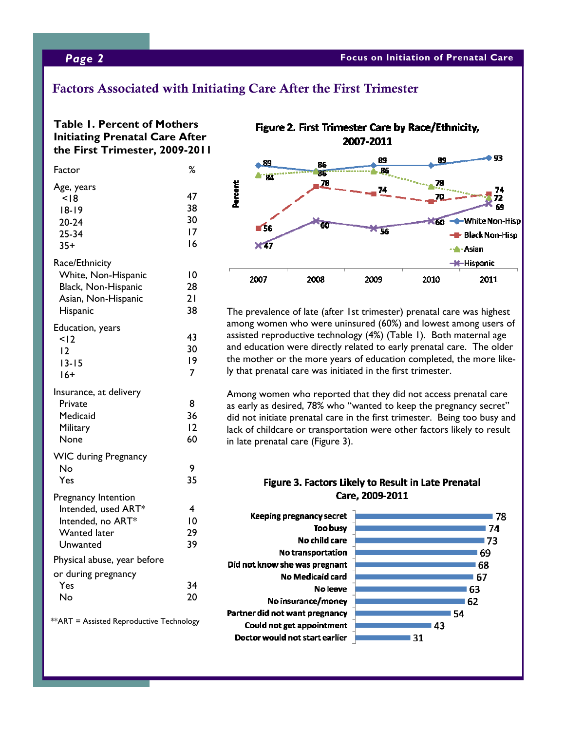*Page 2* **Focus on Initiation of Prenatal Care** 

## Factors Associated with Initiating Care After the First Trimester

#### **Table 1. Percent of Mothers Initiating Prenatal Care After the First Trimester, 2009-2011**

| Factor                                                                                             | ℅                               |
|----------------------------------------------------------------------------------------------------|---------------------------------|
| Age, years<br>< 18<br>$18 - 19$<br>$20 - 24$<br>$25 - 34$<br>$35+$                                 | 47<br>38<br>30<br>17<br>16      |
| Race/Ethnicity<br>White, Non-Hispanic<br>Black, Non-Hispanic<br>Asian, Non-Hispanic<br>Hispanic    | 10<br>28<br>21<br>38            |
| Education, years<br>< 12<br>12<br>$13 - 15$<br>$16+$                                               | 43<br>30<br>19<br>7             |
| Insurance, at delivery<br>Private<br>Medicaid<br>Military<br>None                                  | 8<br>36<br>12<br>60             |
| <b>WIC during Pregnancy</b><br>No<br>Yes                                                           | 9<br>35                         |
| Pregnancy Intention<br>Intended, used ART*<br>Intended, no ART*<br><b>Wanted later</b><br>Unwanted | 4<br>$\overline{0}$<br>29<br>39 |
| Physical abuse, year before<br>or during pregnancy<br>Yes<br>No                                    | 34<br>20                        |

\*\*ART = Assisted Reproductive Technology



The prevalence of late (after 1st trimester) prenatal care was highest among women who were uninsured (60%) and lowest among users of assisted reproductive technology (4%) (Table 1). Both maternal age and education were directly related to early prenatal care. The older the mother or the more years of education completed, the more likely that prenatal care was initiated in the first trimester.

Among women who reported that they did not access prenatal care as early as desired, 78% who "wanted to keep the pregnancy secret" did not initiate prenatal care in the first trimester. Being too busy and lack of childcare or transportation were other factors likely to result in late prenatal care (Figure 3).

#### Figure 3. Factors Likely to Result in Late Prenatal Care, 2009-2011

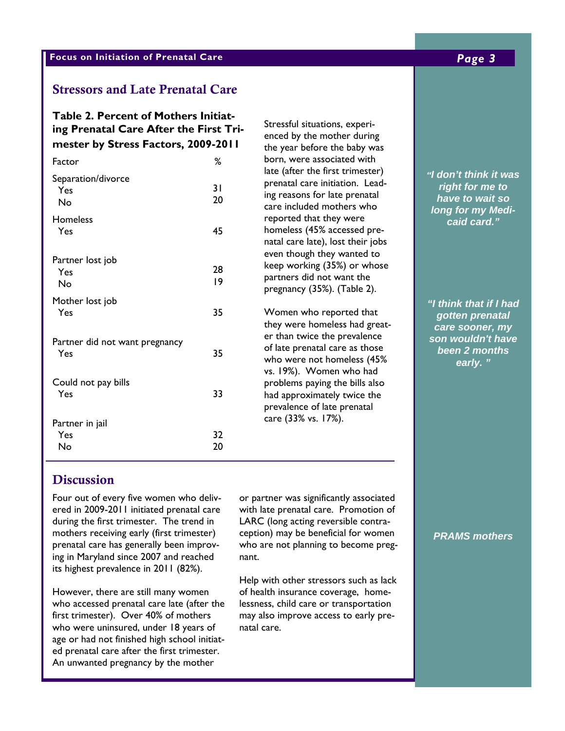#### **Focus on Initiation of Prenatal Care** *Page 3*

### Stressors and Late Prenatal Care

#### **able 1II. Percentage of Mothers Reporting Smoking, Alcohol Table 2. Percent of Mothers Initiating Prenatal Care After the First Trimester by Stress Factors, 2009-2011**

| Factor                                | ℅        |
|---------------------------------------|----------|
| Separation/divorce<br>Yes<br>No       | 31<br>20 |
| Homeless<br>Yes                       | 45       |
| Partner lost job<br>Yes<br>No         | 28<br>19 |
| Mother lost job<br>Yes                | 35       |
| Partner did not want pregnancy<br>Yes | 35       |
| Could not pay bills<br>Yes            | 33       |
| Partner in jail<br>Yes<br>No          | 32<br>20 |

**Absolute Pri-** Stressful situations, experi-**Jurisdiction Control During During Alcohol During Alcohol During Alcohol During Alcohol During Alcohol During A** late (after the first trimester)  $\left| \begin{array}{c} \text{d} & \text{d} \\ \text{d} & \text{d} \text{d} \end{array} \right|$  $\alpha$  care included mothers who  $\alpha$  and  $\alpha$  in  $\alpha$ reported that they were  $\begin{array}{ccc} \text{1.5}\ \text{2.5}\ \text{3.5}\ \text{4.6}\ \text{5.6}\ \text{5.7}\ \text{6.8}\ \text{6.8}\ \text{7.8}\ \text{7.8}\ \text{8.8}\ \text{8.8}\ \text{8.8}\ \text{9.8}\ \text{9.8}\ \text{1.8}\ \text{1.8}\ \text{1.8}\ \text{1.8}\ \text{1.8}\ \text{1.8}\ \text{1.8}\ \text{1.8}\ \text{1.8}\ \text{1.8}\ \text{1.8}\ \text{1.8}\$  $A$ natal care late), lost their jobs  $\overline{a}$ Baltimore 5.2 ( 3.5- 6.8) 89.8 (87.8- 91.8) even though they wanted to partners did not want the  $\Box$  pregnancy (35%). (Table 2).  $\Box$ Caroline 7.0 (11 Mink that 11 Momen who reported that 11 mink that 11 mink that 11 mink that 11 mink that 11 m<br>The contract 11 mink of the 11 mink of 11 mink that 11 mink that 11 mink that 11 mink that 11 mink that 11 min they were homeless had great-<br> $\begin{array}{ccc} \hline & \circ & \circ & \circ \\ \hline & \circ & \circ & \circ \end{array}$ er than twice the prevalence **Fig. 1.1-16.12** son would who were not homeless  $(45\%)$ vs. 19%). Women who had Frederick paying the sins also procedure that approximately twice the born, were associated with prenatal eare included... Edua<br> **Example 2 I** enced by the mother during prenatal care initiation. Leadhomeless (45% accessed prekeep working (35%) or whose of late prenatal care as those problems paying the bills also

prevalence of late prenatal **Fig.10.8** (98.7-100) **10.7-100.0**  $\int$  care (33% vs. 17%).

Howard 12.9 ( 6.8-19.0) 89.3 (86.2- 92.3) Kent 13.5 ( 6.4-20.5) 100.0 (100 -100.0) Montgomery 13.8 ( 7.4-20.2) 90.5 (88.8- 92.1) Prince George's 19.5 ( 5.6-33.4) 94.2 (92.4- 95.9)

#### *"I don't think it was right for me to have to wait so long for my Medicaid card."*

*"I think that if I had gotten prenatal care sooner, my son wouldn't have been 2 months early. "* 

### **Discussion**

Four out of every five women who delivered in 2009-2011 initiated prenatal care during the first trimester. The trend in mothers receiving early (first trimester) prenatal care has generally been improving in Maryland since 2007 and reached its highest prevalence in 2011 (82%).

However, there are still many women who accessed prenatal care late (after the first trimester). Over 40% of mothers who were uninsured, under 18 years of age or had not finished high school initiated prenatal care after the first trimester. An unwanted pregnancy by the mother

with late prenatal care. Promotion of  $\Box$  $\begin{array}{|c|c|c|}\n\hline\n\text{LARC (long acting reversible contra--} & \textcolor{red}{\text{Sigma}}\n\hline\n\end{array}$ who are not planning to become preg- $T$ ant.  $T$ or partner was significantly associated ception) may be beneficial for women nant.

 $\mathsf{H}$ elp with other stressors such as lack of health insurance coverage, homelessness, child care or transportation may also improve access to early prenatal care.

#### *PRAMS mothers*